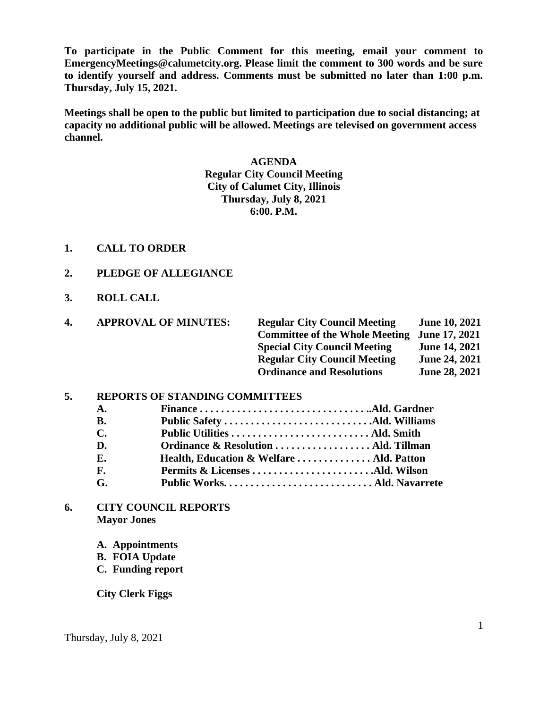**To participate in the Public Comment for this meeting, email your comment to EmergencyMeetings@calumetcity.org. Please limit the comment to 300 words and be sure to identify yourself and address. Comments must be submitted no later than 1:00 p.m. Thursday, July 15, 2021.**

**Meetings shall be open to the public but limited to participation due to social distancing; at capacity no additional public will be allowed. Meetings are televised on government access channel.**

# **AGENDA Regular City Council Meeting City of Calumet City, Illinois Thursday, July 8, 2021 6:00. P.M.**

- **1. CALL TO ORDER**
- **2. PLEDGE OF ALLEGIANCE**
- **3. ROLL CALL**

| 4. | <b>APPROVAL OF MINUTES:</b> | <b>Regular City Council Meeting</b>          | <b>June 10, 2021</b> |
|----|-----------------------------|----------------------------------------------|----------------------|
|    |                             | Committee of the Whole Meeting June 17, 2021 |                      |
|    |                             | <b>Special City Council Meeting</b>          | <b>June 14, 2021</b> |
|    |                             | <b>Regular City Council Meeting</b>          | <b>June 24, 2021</b> |
|    |                             | <b>Ordinance and Resolutions</b>             | <b>June 28, 2021</b> |

## **5. REPORTS OF STANDING COMMITTEES**

| A.        |                                          |  |
|-----------|------------------------------------------|--|
| <b>B.</b> |                                          |  |
| С.        |                                          |  |
| D.        |                                          |  |
| Е.        | Health, Education & Welfare  Ald. Patton |  |
| F.        |                                          |  |
| G.        |                                          |  |
|           |                                          |  |

**6. CITY COUNCIL REPORTS Mayor Jones**

**A. Appointments**

- **B. FOIA Update**
- **C. Funding report**

**City Clerk Figgs**

Thursday, July 8, 2021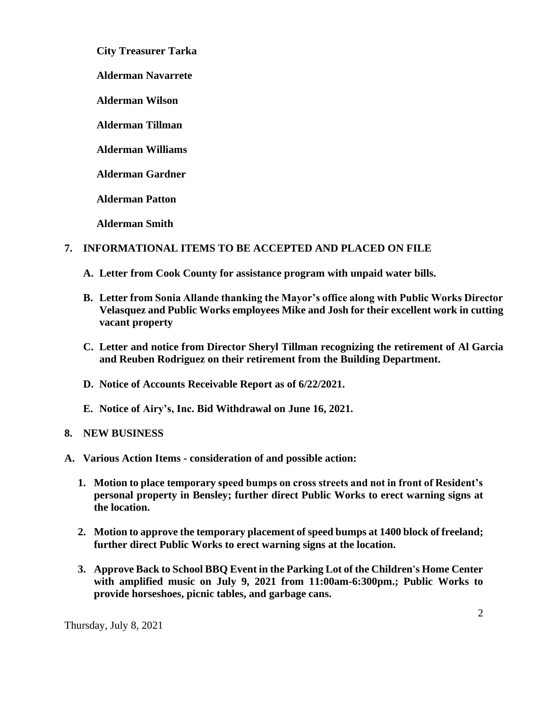**City Treasurer Tarka**

**Alderman Navarrete**

**Alderman Wilson**

**Alderman Tillman**

**Alderman Williams**

**Alderman Gardner**

**Alderman Patton**

**Alderman Smith**

## **7. INFORMATIONAL ITEMS TO BE ACCEPTED AND PLACED ON FILE**

- **A. Letter from Cook County for assistance program with unpaid water bills.**
- **B. Letter from Sonia Allande thanking the Mayor's office along with Public Works Director Velasquez and Public Works employees Mike and Josh for their excellent work in cutting vacant property**
- **C. Letter and notice from Director Sheryl Tillman recognizing the retirement of Al Garcia and Reuben Rodriguez on their retirement from the Building Department.**
- **D. Notice of Accounts Receivable Report as of 6/22/2021.**
- **E. Notice of Airy's, Inc. Bid Withdrawal on June 16, 2021.**

## **8. NEW BUSINESS**

- **A. Various Action Items - consideration of and possible action:** 
	- **1. Motion to place temporary speed bumps on cross streets and not in front of Resident's personal property in Bensley; further direct Public Works to erect warning signs at the location.**
	- **2. Motion to approve the temporary placement of speed bumps at 1400 block of freeland; further direct Public Works to erect warning signs at the location.**
	- **3. Approve Back to School BBQ Event in the Parking Lot of the Children's Home Center with amplified music on July 9, 2021 from 11:00am-6:300pm.; Public Works to provide horseshoes, picnic tables, and garbage cans.**

Thursday, July 8, 2021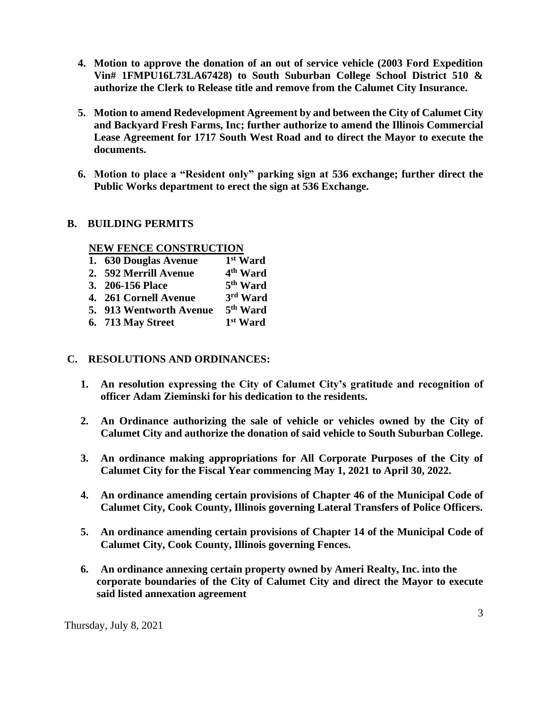- **4. Motion to approve the donation of an out of service vehicle (2003 Ford Expedition Vin# 1FMPU16L73LA67428) to South Suburban College School District 510 & authorize the Clerk to Release title and remove from the Calumet City Insurance.**
- **5. Motion to amend Redevelopment Agreement by and between the City of Calumet City and Backyard Fresh Farms, Inc; further authorize to amend the Illinois Commercial Lease Agreement for 1717 South West Road and to direct the Mayor to execute the documents.**
- **6. Motion to place a "Resident only" parking sign at 536 exchange; further direct the Public Works department to erect the sign at 536 Exchange.**

### **B. BUILDING PERMITS**

#### **NEW FENCE CONSTRUCTION**

| 1. 630 Douglas Avenue   | 1st Ward             |
|-------------------------|----------------------|
| 2. 592 Merrill Avenue   | 4 <sup>th</sup> Ward |
| 3. 206-156 Place        | 5 <sup>th</sup> Ward |
| 4. 261 Cornell Avenue   | 3rd Ward             |
| 5. 913 Wentworth Avenue | 5 <sup>th</sup> Ward |
| 6. 713 May Street       | 1 <sup>st</sup> Ward |

## **C. RESOLUTIONS AND ORDINANCES:**

- **1. An resolution expressing the City of Calumet City's gratitude and recognition of officer Adam Zieminski for his dedication to the residents.**
- **2. An Ordinance authorizing the sale of vehicle or vehicles owned by the City of Calumet City and authorize the donation of said vehicle to South Suburban College.**
- **3. An ordinance making appropriations for All Corporate Purposes of the City of Calumet City for the Fiscal Year commencing May 1, 2021 to April 30, 2022.**
- **4. An ordinance amending certain provisions of Chapter 46 of the Municipal Code of Calumet City, Cook County, Illinois governing Lateral Transfers of Police Officers.**
- **5. An ordinance amending certain provisions of Chapter 14 of the Municipal Code of Calumet City, Cook County, Illinois governing Fences.**
- **6. An ordinance annexing certain property owned by Ameri Realty, Inc. into the corporate boundaries of the City of Calumet City and direct the Mayor to execute said listed annexation agreement**

Thursday, July 8, 2021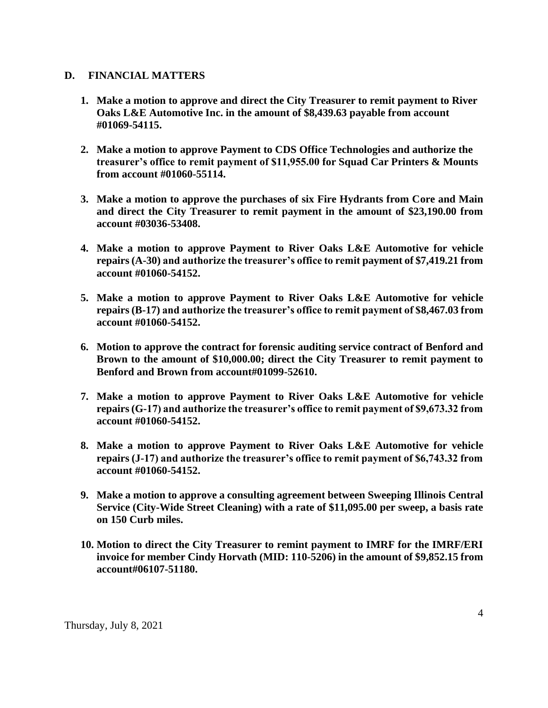#### **D. FINANCIAL MATTERS**

- **1. Make a motion to approve and direct the City Treasurer to remit payment to River Oaks L&E Automotive Inc. in the amount of \$8,439.63 payable from account #01069-54115.**
- **2. Make a motion to approve Payment to CDS Office Technologies and authorize the treasurer's office to remit payment of \$11,955.00 for Squad Car Printers & Mounts from account #01060-55114.**
- **3. Make a motion to approve the purchases of six Fire Hydrants from Core and Main and direct the City Treasurer to remit payment in the amount of \$23,190.00 from account #03036-53408.**
- **4. Make a motion to approve Payment to River Oaks L&E Automotive for vehicle repairs (A-30) and authorize the treasurer's office to remit payment of \$7,419.21 from account #01060-54152.**
- **5. Make a motion to approve Payment to River Oaks L&E Automotive for vehicle repairs (B-17) and authorize the treasurer's office to remit payment of \$8,467.03 from account #01060-54152.**
- **6. Motion to approve the contract for forensic auditing service contract of Benford and Brown to the amount of \$10,000.00; direct the City Treasurer to remit payment to Benford and Brown from account#01099-52610.**
- **7. Make a motion to approve Payment to River Oaks L&E Automotive for vehicle repairs (G-17) and authorize the treasurer's office to remit payment of \$9,673.32 from account #01060-54152.**
- **8. Make a motion to approve Payment to River Oaks L&E Automotive for vehicle repairs (J-17) and authorize the treasurer's office to remit payment of \$6,743.32 from account #01060-54152.**
- **9. Make a motion to approve a consulting agreement between Sweeping Illinois Central Service (City-Wide Street Cleaning) with a rate of \$11,095.00 per sweep, a basis rate on 150 Curb miles.**
- **10. Motion to direct the City Treasurer to remint payment to IMRF for the IMRF/ERI invoice for member Cindy Horvath (MID: 110-5206) in the amount of \$9,852.15 from account#06107-51180.**